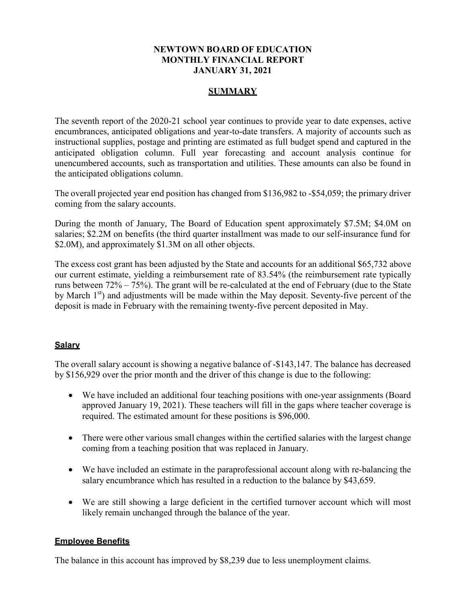## **NEWTOWN BOARD OF EDUCATION MONTHLY FINANCIAL REPORT JANUARY 31, 2021**

# **SUMMARY**

The seventh report of the 2020-21 school year continues to provide year to date expenses, active encumbrances, anticipated obligations and year-to-date transfers. A majority of accounts such as instructional supplies, postage and printing are estimated as full budget spend and captured in the anticipated obligation column. Full year forecasting and account analysis continue for unencumbered accounts, such as transportation and utilities. These amounts can also be found in the anticipated obligations column.

The overall projected year end position has changed from \$136,982 to -\$54,059; the primary driver coming from the salary accounts.

During the month of January, The Board of Education spent approximately \$7.5M; \$4.0M on salaries; \$2.2M on benefits (the third quarter installment was made to our self-insurance fund for \$2.0M), and approximately \$1.3M on all other objects.

The excess cost grant has been adjusted by the State and accounts for an additional \$65,732 above our current estimate, yielding a reimbursement rate of 83.54% (the reimbursement rate typically runs between 72% – 75%). The grant will be re-calculated at the end of February (due to the State by March  $1<sup>st</sup>$ ) and adjustments will be made within the May deposit. Seventy-five percent of the deposit is made in February with the remaining twenty-five percent deposited in May.

## **Salary**

The overall salary account is showing a negative balance of -\$143,147. The balance has decreased by \$156,929 over the prior month and the driver of this change is due to the following:

- We have included an additional four teaching positions with one-year assignments (Board approved January 19, 2021). These teachers will fill in the gaps where teacher coverage is required. The estimated amount for these positions is \$96,000.
- There were other various small changes within the certified salaries with the largest change coming from a teaching position that was replaced in January.
- We have included an estimate in the paraprofessional account along with re-balancing the salary encumbrance which has resulted in a reduction to the balance by \$43,659.
- We are still showing a large deficient in the certified turnover account which will most likely remain unchanged through the balance of the year.

## **Employee Benefits**

The balance in this account has improved by \$8,239 due to less unemployment claims.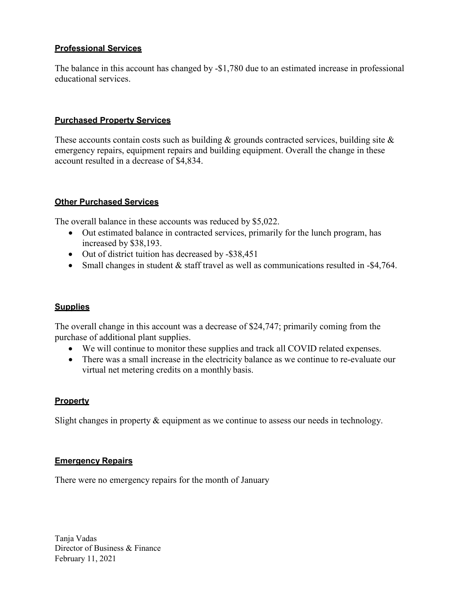# **Professional Services**

The balance in this account has changed by -\$1,780 due to an estimated increase in professional educational services.

## **Purchased Property Services**

These accounts contain costs such as building  $\&$  grounds contracted services, building site  $\&$ emergency repairs, equipment repairs and building equipment. Overall the change in these account resulted in a decrease of \$4,834.

### **Other Purchased Services**

The overall balance in these accounts was reduced by \$5,022.

- Out estimated balance in contracted services, primarily for the lunch program, has increased by \$38,193.
- Out of district tuition has decreased by -\$38,451
- Small changes in student & staff travel as well as communications resulted in -\$4,764.

## **Supplies**

The overall change in this account was a decrease of \$24,747; primarily coming from the purchase of additional plant supplies.

- We will continue to monitor these supplies and track all COVID related expenses.
- There was a small increase in the electricity balance as we continue to re-evaluate our virtual net metering credits on a monthly basis.

## **Property**

Slight changes in property & equipment as we continue to assess our needs in technology.

### **Emergency Repairs**

There were no emergency repairs for the month of January

Tanja Vadas Director of Business & Finance February 11, 2021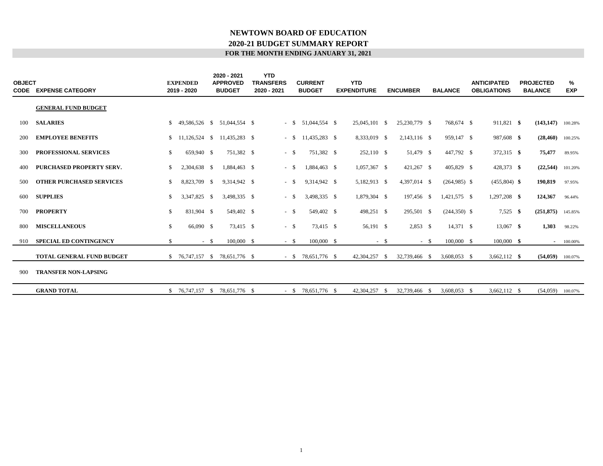### **FOR THE MONTH ENDING JANUARY 31, 2021 2020-21 BUDGET SUMMARY REPORT NEWTOWN BOARD OF EDUCATION**

| <b>OBJECT</b><br>CODE | <b>EXPENSE CATEGORY</b>          |    | <b>EXPENDED</b><br>2019 - 2020 |      | 2020 - 2021<br><b>APPROVED</b><br><b>BUDGET</b> | <b>YTD</b><br><b>TRANSFERS</b><br>2020 - 2021 |        | <b>CURRENT</b><br><b>BUDGET</b> | <b>YTD</b><br><b>EXPENDITURE</b> |        | <b>ENCUMBER</b> |        | <b>BALANCE</b>  | <b>ANTICIPATED</b><br><b>OBLIGATIONS</b> | <b>PROJECTED</b><br><b>BALANCE</b> | %<br><b>EXP</b> |
|-----------------------|----------------------------------|----|--------------------------------|------|-------------------------------------------------|-----------------------------------------------|--------|---------------------------------|----------------------------------|--------|-----------------|--------|-----------------|------------------------------------------|------------------------------------|-----------------|
|                       | <b>GENERAL FUND BUDGET</b>       |    |                                |      |                                                 |                                               |        |                                 |                                  |        |                 |        |                 |                                          |                                    |                 |
| 100                   | <b>SALARIES</b>                  |    | 49,586,526 \$                  |      | 51,044,554 \$                                   |                                               | $-$ \$ | 51,044,554 \$                   | 25,045,101 \$                    |        | 25,230,779 \$   |        | 768,674 \$      | 911,821 \$                               | (143, 147)                         | 100.28%         |
| 200                   | <b>EMPLOYEE BENEFITS</b>         |    |                                |      | $$11,126,524 \quad $11,435,283 \quad $$$        |                                               | $-$ \$ | 11,435,283 \$                   | 8,333,019 \$                     |        | 2,143,116 \$    |        | 959,147 \$      | 987,608 \$                               | (28, 460)                          | 100.25%         |
| 300                   | PROFESSIONAL SERVICES            | \$ | 659,940 \$                     |      | 751.382 \$                                      |                                               | $-$ \$ | 751.382 \$                      | 252,110 \$                       |        | 51,479 \$       |        | 447,792 \$      | 372,315 \$                               | 75,477                             | 89.95%          |
| 400                   | PURCHASED PROPERTY SERV.         | \$ | 2,304,638 \$                   |      | 1,884,463 \$                                    |                                               | - \$   | 1,884,463 \$                    | 1,057,367 \$                     |        | 421,267 \$      |        | 405,829 \$      | 428,373 \$                               | (22, 544)                          | 101.20%         |
| 500                   | <b>OTHER PURCHASED SERVICES</b>  | S. | 8,823,709 \$                   |      | 9,314,942 \$                                    |                                               | $-$ \$ | 9,314,942 \$                    | 5,182,913 \$                     |        | 4,397,014 \$    |        | $(264,985)$ \$  | $(455,804)$ \$                           | 190,819                            | 97.95%          |
| 600                   | <b>SUPPLIES</b>                  | \$ | 3,347,825 \$                   |      | 3,498,335 \$                                    |                                               | $-$ \$ | 3,498,335 \$                    | 1,879,304 \$                     |        | 197,456 \$      |        | 1,421,575 \$    | 1,297,208 \$                             | 124,367                            | 96.44%          |
| 700                   | <b>PROPERTY</b>                  | \$ | 831,904 \$                     |      | 549,402 \$                                      |                                               | $-$ \$ | 549,402 \$                      | 498,251 \$                       |        | 295,501 \$      |        | $(244, 350)$ \$ | $7,525$ \$                               | (251, 875)                         | 145.85%         |
| 800                   | <b>MISCELLANEOUS</b>             | \$ | 66,090 \$                      |      | 73,415 \$                                       |                                               | $-$ \$ | 73,415 \$                       | 56,191 \$                        |        | $2,853$ \$      |        | 14,371 \$       | 13,067 \$                                | 1,303                              | 98.22%          |
| 910                   | <b>SPECIAL ED CONTINGENCY</b>    | \$ |                                | $-5$ | 100,000 \$                                      |                                               | $-$ \$ | $100,000$ \$                    |                                  | $-$ \$ |                 | $-$ \$ | 100,000 \$      | $100,000$ \$                             | $\sim$                             | 100.00%         |
|                       | <b>TOTAL GENERAL FUND BUDGET</b> |    |                                |      | $$76,747,157$ $$78,651,776$ \$                  |                                               |        | $-$ \$ 78,651,776 \$            | 42,304,257 \$                    |        | 32,739,466 \$   |        | 3,608,053 \$    | $3,662,112$ \$                           | (54, 059)                          | 100.07%         |
| 900                   | <b>TRANSFER NON-LAPSING</b>      |    |                                |      |                                                 |                                               |        |                                 |                                  |        |                 |        |                 |                                          |                                    |                 |
|                       | <b>GRAND TOTAL</b>               |    | $$76,747,157$ \;               |      | 78,651,776 \$                                   |                                               |        | $-$ \$ 78,651,776 \$            | 42,304,257                       | - \$   | 32,739,466      | - \$   | 3,608,053 \$    | 3,662,112 \$                             | (54,059)                           | 100.07%         |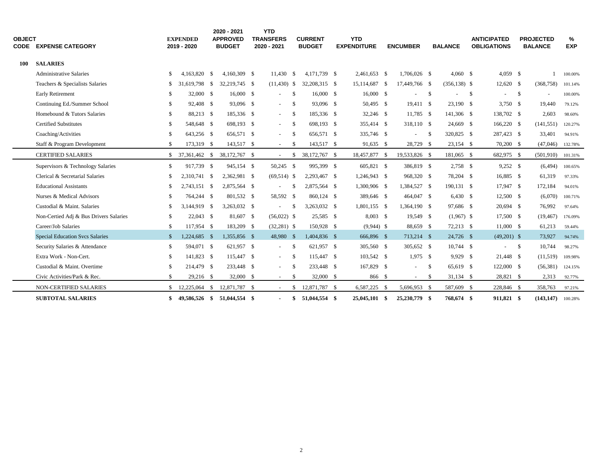| <b>OBJECT</b><br>CODE | <b>EXPENSE CATEGORY</b>                |              | <b>EXPENDED</b><br>2019 - 2020 |      | 2020 - 2021<br><b>APPROVED</b><br><b>BUDGET</b> | <b>YTD</b><br><b>TRANSFERS</b><br>2020 - 2021 |               | <b>CURRENT</b><br><b>BUDGET</b> | <b>YTD</b><br><b>EXPENDITURE</b> | <b>ENCUMBER</b> |      | <b>BALANCE</b>  |    | <b>ANTICIPATED</b><br><b>OBLIGATIONS</b> |      | <b>PROJECTED</b><br><b>BALANCE</b> | %<br><b>EXP</b> |
|-----------------------|----------------------------------------|--------------|--------------------------------|------|-------------------------------------------------|-----------------------------------------------|---------------|---------------------------------|----------------------------------|-----------------|------|-----------------|----|------------------------------------------|------|------------------------------------|-----------------|
| <b>100</b>            | <b>SALARIES</b>                        |              |                                |      |                                                 |                                               |               |                                 |                                  |                 |      |                 |    |                                          |      |                                    |                 |
|                       | <b>Administrative Salaries</b>         | \$           | 4.163.820                      | - \$ | 4,160,309 \$                                    | $11,430$ \$                                   |               | 4,171,739 \$                    | 2,461,653 \$                     | 1,706,026 \$    |      | $4,060$ \$      |    | $4,059$ \$                               |      |                                    | 100.00%         |
|                       | Teachers & Specialists Salaries        | \$           | 31.619.798 \$                  |      | 32,219,745 \$                                   | $(11,430)$ \$                                 |               | 32,208,315 \$                   | 15,114,687 \$                    | 17,449,766 \$   |      | $(356, 138)$ \$ |    | $12,620$ \$                              |      | (368, 758)                         | 101.14%         |
|                       | Early Retirement                       | \$           | 32,000 \$                      |      | 16,000 \$                                       | $\sim$                                        | - \$          | 16,000 S                        | 16,000 \$                        | $\sim$          | \$   |                 | -S | $\blacksquare$                           | - \$ | $\overline{\phantom{a}}$           | 100.00%         |
|                       | Continuing Ed./Summer School           | \$           | 92,408 \$                      |      | 93,096 \$                                       | $\sim$                                        | -\$           | 93,096 \$                       | 50,495 \$                        | 19,411 \$       |      | 23,190 \$       |    | $3,750$ \$                               |      | 19.440                             | 79.12%          |
|                       | Homebound & Tutors Salaries            | \$           | 88,213 \$                      |      | 185,336 \$                                      | $\sim$                                        | \$            | 185,336 \$                      | 32,246 \$                        | 11,785 \$       |      | 141,306 \$      |    | 138,702 \$                               |      | 2,603                              | 98.60%          |
|                       | <b>Certified Substitutes</b>           | \$           | 548,648 \$                     |      | 698,193 \$                                      | $\sim$                                        | -\$           | 698,193 \$                      | 355,414 \$                       | 318,110 \$      |      | 24,669 \$       |    | 166,220 \$                               |      | (141, 551)                         | 120.27%         |
|                       | Coaching/Activities                    | \$           | 643,256 \$                     |      | 656,571 \$                                      | $\sim$                                        | - \$          | 656,571 \$                      | 335,746 \$                       | $\sim$          | - \$ | 320,825 \$      |    | 287,423 \$                               |      | 33,401                             | 94.91%          |
|                       | Staff & Program Development            | \$           | 173,319 \$                     |      | 143,517 \$                                      | $\sim$                                        | -\$           | 143,517 \$                      | 91,635 \$                        | 28,729 \$       |      | $23,154$ \$     |    | 70,200 \$                                |      | (47,046)                           | 132.78%         |
|                       | <b>CERTIFIED SALARIES</b>              | \$           | 37,361,462 \$                  |      | 38,172,767 \$                                   | $\sim$ $-$                                    | \$            | 38,172,767 \$                   | 18,457,877 \$                    | 19,533,826 \$   |      | 181,065 \$      |    | 682,975 \$                               |      | (501,910)                          | 101.31%         |
|                       | Supervisors & Technology Salaries      | \$           | 917,739 \$                     |      | 945,154 \$                                      | 50,245 \$                                     |               | 995,399 \$                      | 605,821 \$                       | 386,819 \$      |      | 2,758 \$        |    | $9,252$ \$                               |      | (6, 494)                           | 100.65%         |
|                       | Clerical & Secretarial Salaries        | \$           | 2,310,741 \$                   |      | 2,362,981 \$                                    | $(69, 514)$ \$                                |               | 2,293,467 \$                    | 1,246,943 \$                     | 968,320 \$      |      | 78,204 \$       |    | 16,885 \$                                |      | 61,319                             | 97.33%          |
|                       | <b>Educational Assistants</b>          | \$           | 2,743,151 \$                   |      | 2,875,564 \$                                    | $\blacksquare$                                | -\$           | 2,875,564 \$                    | 1,300,906 \$                     | 1,384,527 \$    |      | 190,131 \$      |    | 17,947 \$                                |      | 172,184                            | 94.01%          |
|                       | Nurses & Medical Advisors              | \$           | 764,244 \$                     |      | 801,532 \$                                      | 58,592 \$                                     |               | 860.124 \$                      | 389,646 \$                       | 464,047 \$      |      | $6,430$ \$      |    | 12,500 \$                                |      | (6,070)                            | 100.71%         |
|                       | Custodial & Maint. Salaries            | \$           | 3,144,919 \$                   |      | 3,263,032 \$                                    | $\sim$                                        | -\$           | 3,263,032 \$                    | 1,801,155 \$                     | 1,364,190 \$    |      | 97,686 \$       |    | $20,694$ \$                              |      | 76,992                             | 97.64%          |
|                       | Non-Certied Adj & Bus Drivers Salaries | \$           | 22,043 \$                      |      | 81,607 \$                                       | $(56,022)$ \$                                 |               | 25,585 \$                       | $8,003$ \$                       | 19,549 \$       |      | $(1,967)$ \$    |    | 17,500 \$                                |      | (19, 467)                          | 176.09%         |
|                       | Career/Job Salaries                    | \$           | 117,954 \$                     |      | 183,209 \$                                      | $(32,281)$ \$                                 |               | 150,928 \$                      | $(9,944)$ \$                     | 88,659 \$       |      | 72,213 \$       |    | 11,000 \$                                |      | 61,213                             | 59.44%          |
|                       | <b>Special Education Svcs Salaries</b> | $\mathbb{S}$ | 1,224,685 \$                   |      | 1,355,856 \$                                    | 48,980 \$                                     |               | 1,404,836 \$                    | 666,896 \$                       | 713,214 \$      |      | $24,726$ \$     |    | $(49,201)$ \$                            |      | 73,927                             | 94.74%          |
|                       | Security Salaries & Attendance         | \$           | 594,071 \$                     |      | 621,957 \$                                      | $\sim$                                        | -\$           | 621,957 \$                      | 305,560 \$                       | 305,652 \$      |      | $10,744$ \$     |    | $\sim$                                   | \$   | 10,744                             | 98.27%          |
|                       | Extra Work - Non-Cert.                 | \$           | 141,823 \$                     |      | 115,447 \$                                      | $\sim$                                        | - \$          | 115,447 \$                      | 103,542 \$                       | $1,975$ \$      |      | 9,929 \$        |    | 21,448 \$                                |      | (11,519)                           | 109.98%         |
|                       | Custodial & Maint. Overtime            | \$           | 214,479 \$                     |      | 233,448 \$                                      | $\sim$                                        | -\$           | 233,448 \$                      | 167,829 \$                       |                 | -S   | 65,619 \$       |    | 122,000 \$                               |      | (56, 381)                          | 124.15%         |
|                       | Civic Activities/Park & Rec.           | \$           | 29,216 \$                      |      | 32,000 \$                                       | $\sim$                                        | -\$           | 32,000 \$                       | 866 \$                           | $\sim$          | \$   | $31,134$ \$     |    | 28,821 \$                                |      | 2,313                              | 92.77%          |
|                       | NON-CERTIFIED SALARIES                 | \$           | 12,225,064                     | - \$ | 12,871,787 \$                                   |                                               | <sup>\$</sup> | 12,871,787 \$                   | 6,587,225 \$                     | 5,696,953 \$    |      | 587,609 \$      |    | 228,846 \$                               |      | 358,763                            | 97.21%          |
|                       | <b>SUBTOTAL SALARIES</b>               | \$           | 49,586,526 \$                  |      | 51,044,554 \$                                   | $\sim$                                        | \$            | 51,044,554 \$                   | 25,045,101 \$                    | 25,230,779 \$   |      | 768,674 \$      |    | 911,821 \$                               |      | (143, 147)                         | 100.28%         |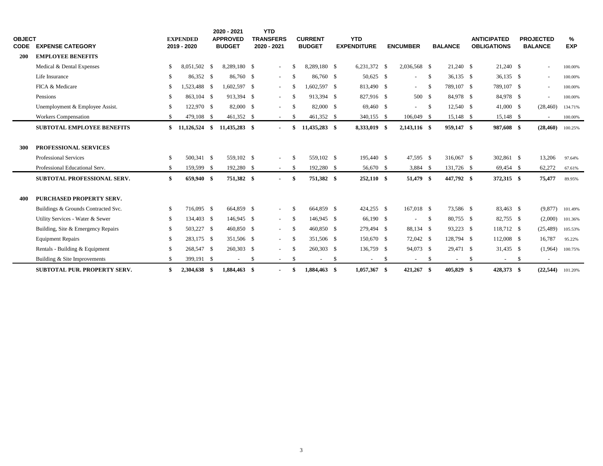| <b>OBJECT</b> |                                     |               | <b>EXPENDED</b> |      | 2020 - 2021<br><b>APPROVED</b> | <b>YTD</b><br><b>TRANSFERS</b> |     | <b>CURRENT</b> |     | <b>YTD</b>         |                     |      |                |      | <b>ANTICIPATED</b> |     | <b>PROJECTED</b>         | %          |
|---------------|-------------------------------------|---------------|-----------------|------|--------------------------------|--------------------------------|-----|----------------|-----|--------------------|---------------------|------|----------------|------|--------------------|-----|--------------------------|------------|
| <b>CODE</b>   | <b>EXPENSE CATEGORY</b>             |               | 2019 - 2020     |      | <b>BUDGET</b>                  | 2020 - 2021                    |     | <b>BUDGET</b>  |     | <b>EXPENDITURE</b> | <b>ENCUMBER</b>     |      | <b>BALANCE</b> |      | <b>OBLIGATIONS</b> |     | <b>BALANCE</b>           | <b>EXP</b> |
| 200           | <b>EMPLOYEE BENEFITS</b>            |               |                 |      |                                |                                |     |                |     |                    |                     |      |                |      |                    |     |                          |            |
|               | Medical & Dental Expenses           |               | 8.051.502       | - \$ | 8.289.180 \$                   | $\sim$                         |     | 8.289.180 \$   |     | 6,231,372 \$       | 2,036,568 \$        |      | 21,240 \$      |      | $21,240$ \$        |     | $\equiv$                 | 100.00%    |
|               | Life Insurance                      |               | 86,352 \$       |      | 86,760 \$                      | $\sim 100$                     | -\$ | 86,760 \$      |     | 50,625 \$          | $\sim$              | \$   | $36,135$ \$    |      | $36,135$ \$        |     | $\sim$                   | 100.00%    |
|               | FICA & Medicare                     |               | 1,523,488       | - \$ | 1,602,597 \$                   | $\sim$                         | -S  | 1,602,597 \$   |     | 813,490 \$         | $\sim 100$          | \$   | 789,107 \$     |      | 789,107 \$         |     | $\sim$                   | 100.00%    |
|               | Pensions                            |               | 863,104 \$      |      | 913.394 \$                     | $\sim$                         | -S  | 913.394 \$     |     | 827,916 \$         | 500 \$              |      | 84.978 \$      |      | 84,978 \$          |     | $\sim$                   | 100.00%    |
|               | Unemployment & Employee Assist.     |               | 122,970 \$      |      | 82,000 \$                      | $\sim$                         | -\$ | 82,000 \$      |     | 69,460 \$          | $\omega_{\rm{max}}$ | - \$ | 12,540 \$      |      | 41,000 \$          |     | (28, 460)                | 134.71%    |
|               | <b>Workers Compensation</b>         |               | 479,108         | - \$ | 461,352 \$                     | $\sim$                         | -\$ | 461,352 \$     |     | 340,155 \$         | 106,049 \$          |      | 15,148 \$      |      | 15,148 \$          |     | $\sim$                   | 100.00%    |
|               | <b>SUBTOTAL EMPLOYEE BENEFITS</b>   |               | \$11,126,524    | -\$  | 11,435,283 \$                  |                                |     | 11,435,283 \$  |     | 8,333,019 \$       | 2,143,116 \$        |      | 959,147 \$     |      | 987,608 \$         |     | (28, 460)                | 100.25%    |
|               |                                     |               |                 |      |                                |                                |     |                |     |                    |                     |      |                |      |                    |     |                          |            |
| 300           | PROFESSIONAL SERVICES               |               |                 |      |                                |                                |     |                |     |                    |                     |      |                |      |                    |     |                          |            |
|               | <b>Professional Services</b>        | -\$           | 500,341 \$      |      | 559,102 \$                     | $\sim$                         | -\$ | 559,102 \$     |     | 195,440 \$         | 47,595 \$           |      | 316,067 \$     |      | 302,861 \$         |     | 13,206                   | 97.64%     |
|               | Professional Educational Serv.      | <sup>\$</sup> | 159,599 \$      |      | 192,280 \$                     | $\sim 100$                     | -\$ | 192,280 \$     |     | 56,670 \$          | 3,884 \$            |      | 131,726 \$     |      | 69,454 \$          |     | 62,272                   | 67.61%     |
|               | SUBTOTAL PROFESSIONAL SERV.         | \$            | 659,940 \$      |      | 751,382 \$                     | $\sim$                         | \$  | 751,382 \$     |     | $252,110$ \$       | 51,479 \$           |      | 447,792 \$     |      | 372,315 \$         |     | 75,477                   | 89.95%     |
|               |                                     |               |                 |      |                                |                                |     |                |     |                    |                     |      |                |      |                    |     |                          |            |
| 400           | PURCHASED PROPERTY SERV.            |               |                 |      |                                |                                |     |                |     |                    |                     |      |                |      |                    |     |                          |            |
|               | Buildings & Grounds Contracted Svc. | -\$           | 716,095 \$      |      | 664,859 \$                     | $\sim$                         | -\$ | 664,859 \$     |     | 424,255 \$         | 167,018 \$          |      | 73,586 \$      |      | 83,463 \$          |     | (9,877)                  | 101.49%    |
|               | Utility Services - Water & Sewer    |               | 134,403 \$      |      | 146,945 \$                     | $\sim 10$                      | -\$ | 146,945 \$     |     | 66,190 \$          | $\sim$              | \$   | 80,755 \$      |      | 82,755 \$          |     | (2,000)                  | 101.36%    |
|               | Building, Site & Emergency Repairs  |               | 503,227 \$      |      | 460,850 \$                     | $\sim$ $-$                     | -\$ | 460,850 \$     |     | 279,494 \$         | 88,134 \$           |      | 93,223 \$      |      | 118,712 \$         |     | (25, 489)                | 105.53%    |
|               | <b>Equipment Repairs</b>            |               | 283,175 \$      |      | 351,506 \$                     | $\sim$                         | -S  | 351,506 \$     |     | 150,670 \$         | 72,042 \$           |      | 128,794 \$     |      | 112,008 \$         |     | 16,787                   | 95.22%     |
|               | Rentals - Building & Equipment      |               | 268,547 \$      |      | 260,303 \$                     | $\sim$                         | -S  | 260,303 \$     |     | 136,759 \$         | 94,073 \$           |      | 29,471 \$      |      | 31,435 \$          |     | (1,964)                  | 100.75%    |
|               | Building & Site Improvements        |               | 399,191 \$      |      | $\sim$                         | \$<br>$\sim$                   | -\$ | $\blacksquare$ | -\$ | $\blacksquare$     | \$<br>$\sim$        | \$   | $\sim$         | - \$ | $\sim$             | -\$ | $\overline{\phantom{a}}$ |            |
|               | <b>SUBTOTAL PUR. PROPERTY SERV.</b> |               | 2,304,638       | - \$ | 1,884,463 \$                   |                                |     | 1,884,463 \$   |     | $1,057,367$ \$     | 421,267 \$          |      | 405,829 \$     |      | 428,373 \$         |     | (22, 544)                | 101.20%    |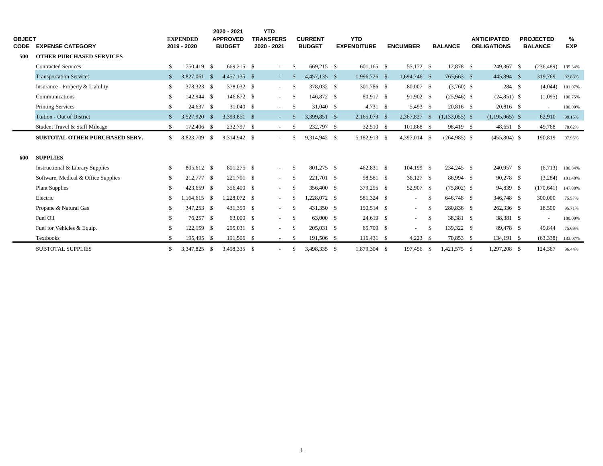| <b>OBJECT</b><br>CODE | <b>EXPENSE CATEGORY</b>               |              | <b>EXPENDED</b><br>2019 - 2020 | 2020 - 2021<br><b>APPROVED</b><br><b>BUDGET</b> |      | <b>YTD</b><br><b>TRANSFERS</b><br>2020 - 2021 |               | <b>CURRENT</b><br><b>BUDGET</b> | <b>YTD</b><br><b>EXPENDITURE</b> | <b>ENCUMBER</b>  |     | <b>BALANCE</b>   | <b>ANTICIPATED</b><br><b>OBLIGATIONS</b> | <b>PROJECTED</b><br><b>BALANCE</b> | %<br><b>EXP</b> |  |
|-----------------------|---------------------------------------|--------------|--------------------------------|-------------------------------------------------|------|-----------------------------------------------|---------------|---------------------------------|----------------------------------|------------------|-----|------------------|------------------------------------------|------------------------------------|-----------------|--|
| 500                   | <b>OTHER PURCHASED SERVICES</b>       |              |                                |                                                 |      |                                               |               |                                 |                                  |                  |     |                  |                                          |                                    |                 |  |
|                       | <b>Contracted Services</b>            | \$           | 750,419 \$                     | 669.215 \$                                      |      | $\sim$                                        | <sup>\$</sup> | 669.215 \$                      | $601.165$ \$                     | 55,172 \$        |     | 12,878 \$        | 249,367 \$                               | (236, 489)                         | 135.34%         |  |
|                       | <b>Transportation Services</b>        | \$           | 3,827,061 \$                   | 4,457,135 \$                                    |      | $\sim 100$                                    | -S            | 4,457,135 \$                    | 1,996,726 \$                     | 1,694,746 \$     |     | 765,663 \$       | 445,894 \$                               | 319,769                            | 92.83%          |  |
|                       | Insurance - Property & Liability      | \$           | 378,323 \$                     | 378,032 \$                                      |      | $\sim 100$                                    | - \$          | 378,032 \$                      | 301,786 \$                       | 80,007 \$        |     | $(3,760)$ \$     | 284 \$                                   | (4,044)                            | 101.07%         |  |
|                       | Communications                        | \$           | 142,944 \$                     | 146,872 \$                                      |      | $\sim$                                        | -\$           | 146,872 \$                      | 80,917 \$                        | 91,902 \$        |     | $(25,946)$ \$    | $(24,851)$ \$                            | (1,095)                            | 100.75%         |  |
|                       | <b>Printing Services</b>              | \$           | 24,637 \$                      | 31,040 \$                                       |      | $\sim$                                        | <sup>S</sup>  | 31,040 \$                       | 4,731 \$                         | 5,493 \$         |     | 20,816 \$        | 20,816 \$                                | $\overline{\phantom{a}}$           | 100.00%         |  |
|                       | Tuition - Out of District             | $\mathbb{S}$ | 3,527,920 \$                   | 3,399,851 \$                                    |      | $\sim 100$                                    | $\mathbf{\$}$ | 3,399,851 \$                    | 2,165,079 \$                     | 2,367,827        | -\$ | $(1,133,055)$ \$ | $(1,195,965)$ \$                         | 62,910                             | 98.15%          |  |
|                       | Student Travel & Staff Mileage        | \$           | 172,406 \$                     | 232,797                                         | - \$ | $\sim$                                        | -\$           | 232,797                         | \$<br>32,510 \$                  | 101,868 \$       |     | 98,419 \$        | 48,651 \$                                | 49,768                             | 78.62%          |  |
|                       | <b>SUBTOTAL OTHER PURCHASED SERV.</b> | \$           | 8,823,709 \$                   | 9,314,942 \$                                    |      | $\sim$                                        | \$            | 9,314,942 \$                    | 5,182,913 \$                     | 4,397,014 \$     |     | $(264,985)$ \$   | $(455,804)$ \$                           | 190,819                            | 97.95%          |  |
| 600                   | <b>SUPPLIES</b>                       |              |                                |                                                 |      |                                               |               |                                 |                                  |                  |     |                  |                                          |                                    |                 |  |
|                       | Instructional & Library Supplies      | \$           | 805,612 \$                     | 801,275 \$                                      |      | $\sim 100$                                    | - \$          | 801,275 \$                      | 462,831 \$                       | 104,199 \$       |     | 234,245 \$       | 240,957 \$                               | (6,713)                            | 100.84%         |  |
|                       | Software, Medical & Office Supplies   | \$           | 212,777 \$                     | 221,701 \$                                      |      | $\sim 100$                                    | -\$           | 221,701 \$                      | 98,581 \$                        | 36,127 \$        |     | 86,994 \$        | 90,278 \$                                | (3,284)                            | 101.48%         |  |
|                       | <b>Plant Supplies</b>                 | \$           | 423,659 \$                     | 356,400 \$                                      |      | $\sim$                                        | -\$           | 356,400 \$                      | 379,295 \$                       | 52,907 \$        |     | $(75,802)$ \$    | 94,839 \$                                | (170, 641)                         | 147.88%         |  |
|                       | Electric                              | \$           | $164,615$ \$                   | 1,228,072 \$                                    |      | $\sim 100$                                    | -S            | 1,228,072 \$                    | 581,324 \$                       | $\sim$           | -\$ | 646,748 \$       | 346,748 \$                               | 300,000                            | 75.57%          |  |
|                       | Propane & Natural Gas                 | \$           | 347,253 \$                     | 431,350 \$                                      |      | $\sim$ 10 $\pm$                               | <sup>\$</sup> | 431,350 \$                      | 150,514 \$                       | $\sim 100$       | -\$ | 280,836 \$       | 262,336 \$                               | 18,500                             | 95.71%          |  |
|                       | Fuel Oil                              | \$           | 76,257 \$                      | 63,000 \$                                       |      | $\sim$                                        | - \$          | 63,000 \$                       | 24,619 \$                        | $\sim$ 100 $\mu$ | \$  | 38,381 \$        | 38,381 \$                                | $\overline{\phantom{a}}$           | 100.00%         |  |
|                       | Fuel for Vehicles & Equip.            | \$           | 122,159 \$                     | 205,031 \$                                      |      | $\sim$                                        | -\$           | 205,031 \$                      | 65,709 \$                        | $\sim$           | -\$ | 139,322 \$       | 89,478 \$                                | 49,844                             | 75.69%          |  |
|                       | Textbooks                             | \$.          | 195,495 \$                     | 191,506 \$                                      |      | $\sim$                                        | -S            | 191,506 \$                      | 116,431 \$                       | $4,223$ \$       |     | 70,853 \$        | 134,191 \$                               | (63, 338)                          | 133.07%         |  |
|                       | <b>SUBTOTAL SUPPLIES</b>              | \$           | 3,347,825 \$                   | 3,498,335 \$                                    |      | $\equiv$                                      | \$            | 3,498,335 \$                    | 1,879,304 \$                     | 197,456 \$       |     | 1,421,575 \$     | 1,297,208 \$                             | 124,367                            | 96.44%          |  |